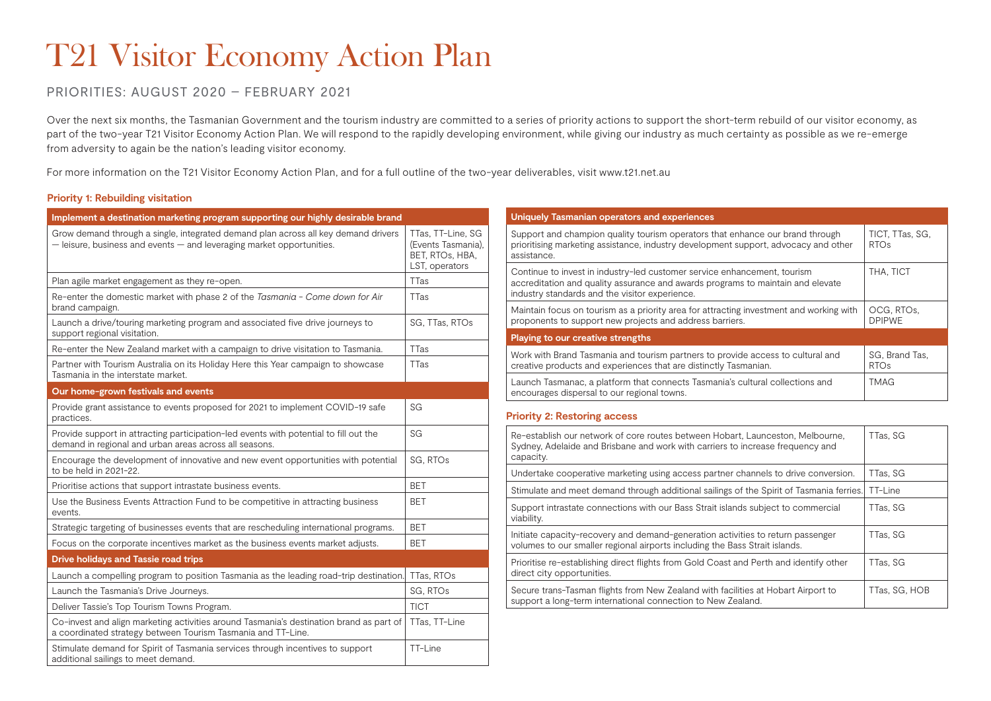# T21 Visitor Economy Action Plan

# PRIORITIES: AUGUST 2020 – FEBRUARY 2021

Over the next six months, the Tasmanian Government and the tourism industry are committed to a series of priority actions to support the short-term rebuild of our visitor economy, as part of the two-year T21 Visitor Economy Action Plan. We will respond to the rapidly developing environment, while giving our industry as much certainty as possible as we re-emerge from adversity to again be the nation's leading visitor economy.

For more information on the T21 Visitor Economy Action Plan, and for a full outline of the two-year deliverables, visit www.t21.net.au

### **Priority 1: Rebuilding visitation**

| Implement a destination marketing program supporting our highly desirable brand                                                                                 |                                                                              |  |
|-----------------------------------------------------------------------------------------------------------------------------------------------------------------|------------------------------------------------------------------------------|--|
| Grow demand through a single, integrated demand plan across all key demand drivers<br>$-$ leisure, business and events $-$ and leveraging market opportunities. | TTas, TT-Line, SG<br>(Events Tasmania),<br>BET, RTOs, HBA,<br>LST, operators |  |
| Plan agile market engagement as they re-open.                                                                                                                   | <b>TTas</b>                                                                  |  |
| Re-enter the domestic market with phase 2 of the Tasmania - Come down for Air<br>brand campaign.                                                                | <b>TTas</b>                                                                  |  |
| Launch a drive/touring marketing program and associated five drive journeys to<br>support regional visitation.                                                  | SG, TTas, RTOs                                                               |  |
| Re-enter the New Zealand market with a campaign to drive visitation to Tasmania.                                                                                | <b>TTas</b>                                                                  |  |
| Partner with Tourism Australia on its Holiday Here this Year campaign to showcase<br>Tasmania in the interstate market.                                         | <b>TTas</b>                                                                  |  |
| Our home-grown festivals and events                                                                                                                             |                                                                              |  |
| Provide grant assistance to events proposed for 2021 to implement COVID-19 safe<br>practices.                                                                   | SG                                                                           |  |
| Provide support in attracting participation-led events with potential to fill out the<br>demand in regional and urban areas across all seasons.                 | SG                                                                           |  |
| Encourage the development of innovative and new event opportunities with potential<br>to be held in 2021-22.                                                    | SG, RTOs                                                                     |  |
| Prioritise actions that support intrastate business events.                                                                                                     | <b>BET</b>                                                                   |  |
| Use the Business Events Attraction Fund to be competitive in attracting business<br>events.                                                                     | <b>BET</b>                                                                   |  |
| Strategic targeting of businesses events that are rescheduling international programs.                                                                          | <b>BET</b>                                                                   |  |
| Focus on the corporate incentives market as the business events market adjusts.                                                                                 | <b>BET</b>                                                                   |  |
| <b>Drive holidays and Tassie road trips</b>                                                                                                                     |                                                                              |  |
| Launch a compelling program to position Tasmania as the leading road-trip destination.                                                                          | TTas, RTOs                                                                   |  |
| Launch the Tasmania's Drive Journeys.                                                                                                                           | SG, RTOs                                                                     |  |
| Deliver Tassie's Top Tourism Towns Program.                                                                                                                     | <b>TICT</b>                                                                  |  |
| Co-invest and align marketing activities around Tasmania's destination brand as part of<br>a coordinated strategy between Tourism Tasmania and TT-Line.         | TTas, TT-Line                                                                |  |
| Stimulate demand for Spirit of Tasmania services through incentives to support<br>additional sailings to meet demand.                                           | TT-Line                                                                      |  |

| Uniquely Tasmanian operators and experiences                                                                                                                                                                  |                                     |
|---------------------------------------------------------------------------------------------------------------------------------------------------------------------------------------------------------------|-------------------------------------|
| Support and champion quality tourism operators that enhance our brand through<br>prioritising marketing assistance, industry development support, advocacy and other<br>assistance.                           | TICT. TTas. SG.<br>RTO <sub>S</sub> |
| Continue to invest in industry-led customer service enhancement, tourism<br>accreditation and quality assurance and awards programs to maintain and elevate<br>industry standards and the visitor experience. | THA, TICT                           |
| Maintain focus on tourism as a priority area for attracting investment and working with<br>proponents to support new projects and address barriers.                                                           | OCG. RTOs.<br><b>DPIPWE</b>         |
| Playing to our creative strengths                                                                                                                                                                             |                                     |
| Work with Brand Tasmania and tourism partners to provide access to cultural and<br>creative products and experiences that are distinctly Tasmanian.                                                           | SG, Brand Tas,<br>RTO <sub>s</sub>  |
| Launch Tasmanac, a platform that connects Tasmania's cultural collections and<br>encourages dispersal to our regional towns.                                                                                  | <b>TMAG</b>                         |

#### **Priority 2: Restoring access**

| Re-establish our network of core routes between Hobart, Launceston, Melbourne,<br>Sydney, Adelaide and Brisbane and work with carriers to increase frequency and<br>capacity. | TTas, SG      |
|-------------------------------------------------------------------------------------------------------------------------------------------------------------------------------|---------------|
| Undertake cooperative marketing using access partner channels to drive conversion.                                                                                            | TTas, SG      |
| Stimulate and meet demand through additional sailings of the Spirit of Tasmania ferries.                                                                                      | TT-Line       |
| Support intrastate connections with our Bass Strait islands subject to commercial<br>viability.                                                                               | TTas, SG      |
| Initiate capacity-recovery and demand-generation activities to return passenger<br>volumes to our smaller regional airports including the Bass Strait islands.                | TTas, SG      |
| Prioritise re-establishing direct flights from Gold Coast and Perth and identify other<br>direct city opportunities.                                                          | TTas, SG      |
| Secure trans-Tasman flights from New Zealand with facilities at Hobart Airport to<br>support a long-term international connection to New Zealand.                             | TTas. SG. HOB |